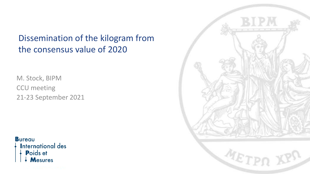#### Dissemination of the kilogram from the consensus value of 2020

M. Stock, BIPM CCU meeting 21-23 September 2021

**Bureau International des** Poids et **Mesures** 

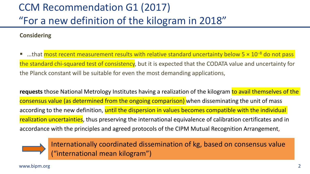# CCM Recommendation G1 (2017) "For a new definition of the kilogram in 2018"

#### **Considering**

■ …that most recent measurement results with relative standard uncertainty below 5 × 10<sup>-8</sup> do not pass the standard chi-squared test of consistency, but it is expected that the CODATA value and uncertainty for the Planck constant will be suitable for even the most demanding applications,

requests those National Metrology Institutes having a realization of the kilogram to avail themselves of the consensus value (as determined from the ongoing comparison) when disseminating the unit of mass according to the new definition, until the dispersion in values becomes compatible with the individual realization uncertainties, thus preserving the international equivalence of calibration certificates and in accordance with the principles and agreed protocols of the CIPM Mutual Recognition Arrangement,



Internationally coordinated dissemination of kg, based on consensus value ("international mean kilogram")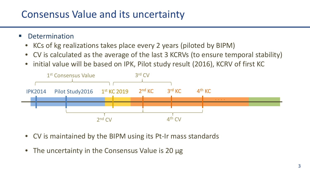## Consensus Value and its uncertainty

- **•** Determination
	- KCs of kg realizations takes place every 2 years (piloted by BIPM)
	- CV is calculated as the average of the last 3 KCRVs (to ensure temporal stability)
	- initial value will be based on IPK, Pilot study result (2016), KCRV of first KC



- CV is maintained by the BIPM using its Pt-Ir mass standards
- The uncertainty in the Consensus Value is 20 μg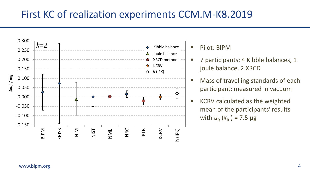#### First KC of realization experiments CCM.M-K8.2019



- **Pilot: BIPM**
- 7 participants: 4 Kibble balances, 1 joule balance, 2 XRCD
- Mass of travelling standards of each participant: measured in vacuum
- KCRV calculated as the weighted mean of the participants' results with  $u_{R}$  ( $x_{R}$ ) = 7.5  $\mu$ g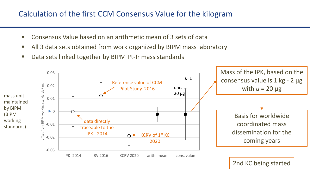#### Calculation of the first CCM Consensus Value for the kilogram

- Consensus Value based on an arithmetic mean of 3 sets of data
- All 3 data sets obtained from work organized by BIPM mass laboratory
- Data sets linked together by BIPM Pt-Ir mass standards

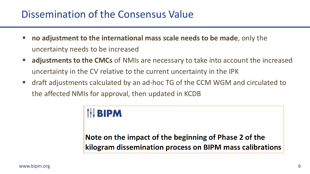### Dissemination of the Consensus Value

- **no adjustment to the international mass scale needs to be made**, only the uncertainty needs to be increased
- **adjustments to the CMCs** of NMIs are necessary to take into account the increased uncertainty in the CV relative to the current uncertainty in the IPK
- draft adjustments calculated by an ad-hoc TG of the CCM WGM and circulated to the affected NMIs for approval, then updated in KCDB

# **IH BIPM**

#### Note on the impact of the beginning of Phase 2 of the kilogram dissemination process on BIPM mass calibrations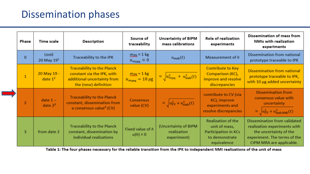### Dissemination phases

|  | Phase          | Time scale               | <b>Description</b>                                                                                                     | Source of<br>traceability                                          | <b>Uncertainty of BIPM</b><br>mass calibrations           | Role of realization<br>experiments                                                                  | Dissemination of mass from<br>NMIs with realization<br>experiments                                                                                 |
|--|----------------|--------------------------|------------------------------------------------------------------------------------------------------------------------|--------------------------------------------------------------------|-----------------------------------------------------------|-----------------------------------------------------------------------------------------------------|----------------------------------------------------------------------------------------------------------------------------------------------------|
|  | $\mathbf{0}$   | Until<br>20 May $191$    | Traceability to the IPK                                                                                                | $m_{\text{IRK}} \equiv 1 \text{ kg}$<br>$u_{m_{\rm IPK}} \equiv 0$ | $u_{\text{stab}}(t)$                                      | Measurement of h                                                                                    | Dissemination from national<br>prototype traceable to IPK                                                                                          |
|  |                | 20 May 19 -<br>date $12$ | <b>Traceability to the Planck</b><br>constant via the IPK, with<br>additional uncertainty from<br>the (new) definition | $m_{\text{IPK}} = 1 \text{ kg}$<br>$u_{m_{\rm IPK}} = 10 \mu g$    | $\approx \sqrt{u_{\text{mipk}}^2 + u_{\text{stab}}^2(t)}$ | <b>Contribute to Key</b><br>Comparison (KC),<br>improve and resolve<br>discrepancies                | Dissemination from national<br>prototype traceable to IPK,<br>with 10 µg added uncertainty                                                         |
|  | $\overline{2}$ | $date 1 -$<br>date $23$  | <b>Traceability to the Planck</b><br>constant, dissemination from<br>a consensus value <sup>4</sup> (CV)               | <b>Consensus</b><br>value (CV)                                     | $\approx \sqrt{u_{\text{CV}}^2 + u_{\text{stab}}^2(t)}$   | contribute to CV (via<br>KC), improve<br>experiments and<br>resolve discrepancies                   | <b>Dissemination from</b><br>consensus value with<br>uncertainty<br>$\approx$ $\sqrt{u_{\text{CV}}^2 + u_{\text{stab,NMI}}^2(t)}$                  |
|  | 3              | from date 2              | <b>Traceability to the Planck</b><br>constant, dissemination by<br>individual realizations                             | Fixed value of h<br>$u(h) \equiv 0$                                | (Uncertainty of BIPM<br>realization<br>experiment)        | <b>Realization of the</b><br>unit of mass,<br>Participation in KCs<br>to demonstrate<br>equivalence | Dissemination from validated<br>realization experiments with<br>the uncertainty of the<br>experiment. The terms of the<br>CIPM MRA are applicable. |

Table 1: The four phases necessary for the reliable transition from the IPK to independent NMI realizations of the unit of mass